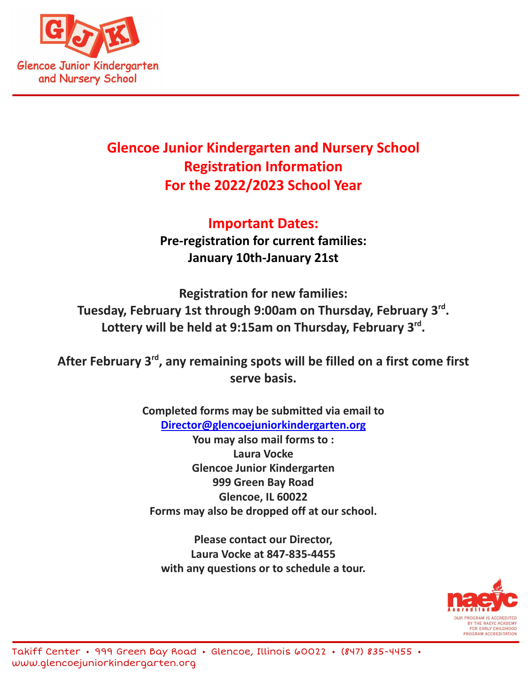

# **Glencoe Junior Kindergarten and Nursery School Registration Information For the 2022/2023 School Year**

**Important Dates: Pre-registration for current families: January 10th-January 21st**

**Registration for new families: Tuesday, February 1st through 9:00am on Thursday, February 3rd . Lottery will be held at 9:15am on Thursday, February 3rd .**

**After February 3rd , any remaining spots will be filled on a first come first serve basis.**

> **Completed forms may be submitted via email to [Director@glencoejuniorkindergarten.org](mailto:Director@glencoejuniorkindergarten.org) You may also mail forms to : Laura Vocke Glencoe Junior Kindergarten 999 Green Bay Road Glencoe, IL 60022 Forms may also be dropped off at our school.**

**Please contact our Director, Laura Vocke at 847-835-4455 with any questions or to schedule a tour.**

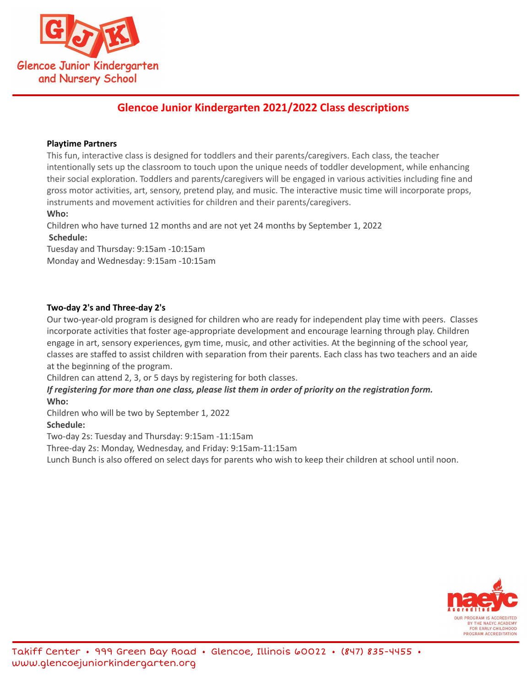

# **Glencoe Junior Kindergarten 2021/2022 Class descriptions**

### **Playtime Partners**

This fun, interactive class is designed for toddlers and their parents/caregivers. Each class, the teacher intentionally sets up the classroom to touch upon the unique needs of toddler development, while enhancing their social exploration. Toddlers and parents/caregivers will be engaged in various activities including fine and gross motor activities, art, sensory, pretend play, and music. The interactive music time will incorporate props, instruments and movement activities for children and their parents/caregivers.

# **Who:**

Children who have turned 12 months and are not yet 24 months by September 1, 2022 **Schedule:**

Tuesday and Thursday: 9:15am -10:15am Monday and Wednesday: 9:15am -10:15am

# **Two-day 2's and Three-day 2's**

Our two-year-old program is designed for children who are ready for independent play time with peers. Classes incorporate activities that foster age-appropriate development and encourage learning through play. Children engage in art, sensory experiences, gym time, music, and other activities. At the beginning of the school year, classes are staffed to assist children with separation from their parents. Each class has two teachers and an aide at the beginning of the program.

Children can attend 2, 3, or 5 days by registering for both classes.

If registering for more than one class, please list them in order of priority on the registration form. **Who:**

Children who will be two by September 1, 2022 **Schedule:**

Two-day 2s: Tuesday and Thursday: 9:15am -11:15am

Three-day 2s: Monday, Wednesday, and Friday: 9:15am-11:15am

Lunch Bunch is also offered on select days for parents who wish to keep their children at school until noon.

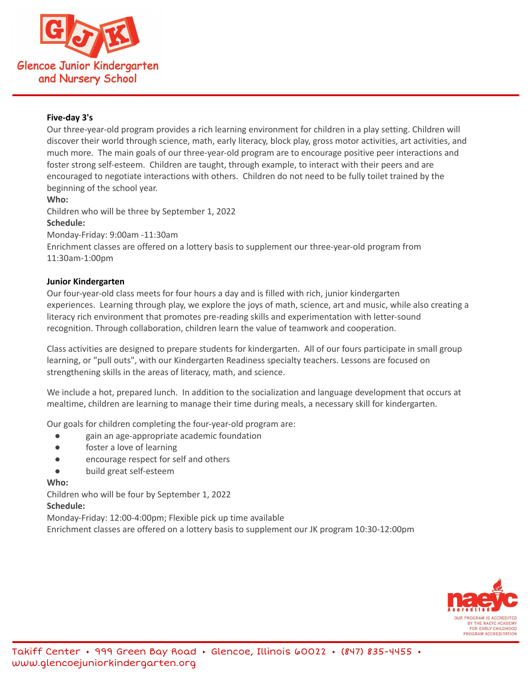

# **Five-day 3's**

Our three-year-old program provides a rich learning environment for children in a play setting. Children will discover their world through science, math, early literacy, block play, gross motor activities, art activities, and much more. The main goals of our three-year-old program are to encourage positive peer interactions and foster strong self-esteem. Children are taught, through example, to interact with their peers and are encouraged to negotiate interactions with others. Children do not need to be fully toilet trained by the beginning of the school year.

#### **Who:**

Children who will be three by September 1, 2022

#### **Schedule:**

Monday-Friday: 9:00am -11:30am Enrichment classes are offered on a lottery basis to supplement our three-year-old program from

11:30am-1:00pm

#### **Junior Kindergarten**

Our four-year-old class meets for four hours a day and is filled with rich, junior kindergarten experiences. Learning through play, we explore the joys of math, science, art and music, while also creating a literacy rich environment that promotes pre-reading skills and experimentation with letter-sound recognition. Through collaboration, children learn the value of teamwork and cooperation.

Class activities are designed to prepare students for kindergarten. All of our fours participate in small group learning, or "pull outs", with our Kindergarten Readiness specialty teachers. Lessons are focused on strengthening skills in the areas of literacy, math, and science.

We include a hot, prepared lunch. In addition to the socialization and language development that occurs at mealtime, children are learning to manage their time during meals, a necessary skill for kindergarten.

Our goals for children completing the four-year-old program are:

- gain an age-appropriate academic foundation
- foster a love of learning
- encourage respect for self and others
- build great self-esteem

#### **Who:**

Children who will be four by September 1, 2022

#### **Schedule:**

Monday-Friday: 12:00-4:00pm; Flexible pick up time available

Enrichment classes are offered on a lottery basis to supplement our JK program 10:30-12:00pm